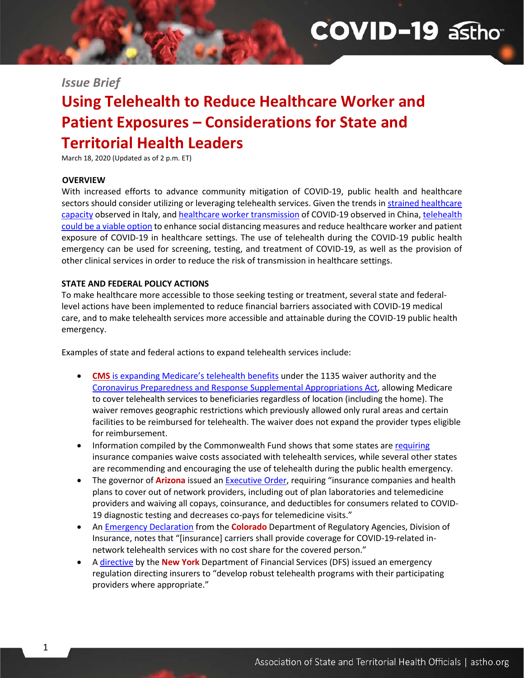# **COVID-19 asthon**

### *Issue Brief*

## **Using Telehealth to Reduce Healthcare Worker and Patient Exposures – Considerations for State and Territorial Health Leaders**

March 18, 2020 (Updated as of 2 p.m. ET)

#### **OVERVIEW**

1

With increased efforts to advance community mitigation of COVID-19, public health and healthcare sectors should consider utilizing or leveraging telehealth services. Given the trends in [strained healthcare](https://jamanetwork.com/journals/jama/fullarticle/2763188)  [capacity](https://jamanetwork.com/journals/jama/fullarticle/2763188) observed in Italy, and [healthcare worker transmission](https://www.cambridge.org/core/services/aop-cambridge-core/content/view/03DEB8D3BF68A674ADAB3FC4EF245E40/S0899823X20000604a.pdf/protecting_chinese_healthcare_workers_while_combating_the_2019_novel_coronavirus.pdf) of COVID-19 observed in China[, telehealth](https://www.healthaffairs.org/do/10.1377/hblog20200315.319008/full/?utm_source=Newsletter&utm_medium=email&utm_content=Expanding+Telehealth+Use+Amid+The+Coronavirus+Pandemic%3B+Coverage+Provisions+In+The+House+Coronavirus+Bill%3B+Effects+Of+The+ACA+On+Primary+Care&utm_campaign=HAT+3-16-20&)  [could be a viable option](https://www.healthaffairs.org/do/10.1377/hblog20200315.319008/full/?utm_source=Newsletter&utm_medium=email&utm_content=Expanding+Telehealth+Use+Amid+The+Coronavirus+Pandemic%3B+Coverage+Provisions+In+The+House+Coronavirus+Bill%3B+Effects+Of+The+ACA+On+Primary+Care&utm_campaign=HAT+3-16-20&) to enhance social distancing measures and reduce healthcare worker and patient exposure of COVID-19 in healthcare settings. The use of telehealth during the COVID-19 public health emergency can be used for screening, testing, and treatment of COVID-19, as well as the provision of other clinical services in order to reduce the risk of transmission in healthcare settings.

#### **STATE AND FEDERAL POLICY ACTIONS**

To make healthcare more accessible to those seeking testing or treatment, several state and federallevel actions have been implemented to reduce financial barriers associated with COVID-19 medical care, and to make telehealth services more accessible and attainable during the COVID-19 public health emergency.

Examples of state and federal actions to expand telehealth services include:

- **CMS** [is expanding Medicare's telehealth benefits](https://www.cms.gov/newsroom/fact-sheets/medicare-telemedicine-health-care-provider-fact-sheet) under the 1135 waiver authority and the [Coronavirus Preparedness and Response Supplemental Appropriations Act,](https://www.congress.gov/116/bills/hr6074/BILLS-116hr6074enr.pdf) allowing Medicare to cover telehealth services to beneficiaries regardless of location (including the home). The waiver removes geographic restrictions which previously allowed only rural areas and certain facilities to be reimbursed for telehealth. The waiver does not expand the provider types eligible for reimbursement.
- Information compiled by the Commonwealth Fund shows that some states ar[e requiring](https://www.commonwealthfund.org/blog/2020/what-are-state-officials-doing-make-private-health-insurance-work-better-consumers-during?utm_campaign=phpartners&utm_medium=email&utm_source=govdelivery) insurance companies waive costs associated with telehealth services, while several other states are recommending and encouraging the use of telehealth during the public health emergency.
- The governor of **Arizona** issued an **Executive Order**, requiring "insurance companies and health plans to cover out of network providers, including out of plan laboratories and telemedicine providers and waiving all copays, coinsurance, and deductibles for consumers related to COVID-19 diagnostic testing and decreases co-pays for telemedicine visits."
- A[n Emergency Declaration](https://drive.google.com/file/d/1vAYettZLD4ZR-3wFZ5s_nwo6_79T1n4C/view) from the **Colorado** Department of Regulatory Agencies, Division of Insurance, notes that "[insurance] carriers shall provide coverage for COVID-19-related innetwork telehealth services with no cost share for the covered person."
- A [directive](https://www.governor.ny.gov/news/governor-cuomo-announces-new-directive-requiring-new-york-insurers-waive-cost-sharing) by the **New York** Department of Financial Services (DFS) issued an emergency regulation directing insurers to "develop robust telehealth programs with their participating providers where appropriate."